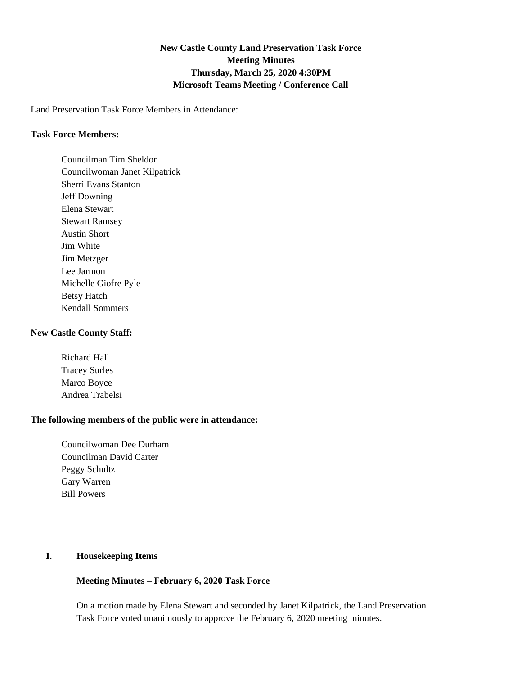# **New Castle County Land Preservation Task Force Meeting Minutes Thursday, March 25, 2020 4:30PM Microsoft Teams Meeting / Conference Call**

Land Preservation Task Force Members in Attendance:

#### **Task Force Members:**

Councilman Tim Sheldon Councilwoman Janet Kilpatrick Sherri Evans Stanton Jeff Downing Elena Stewart Stewart Ramsey Austin Short Jim White Jim Metzger Lee Jarmon Michelle Giofre Pyle Betsy Hatch Kendall Sommers

#### **New Castle County Staff:**

Richard Hall Tracey Surles Marco Boyce Andrea Trabelsi

#### **The following members of the public were in attendance:**

Councilwoman Dee Durham Councilman David Carter Peggy Schultz Gary Warren Bill Powers

## **I. Housekeeping Items**

## **Meeting Minutes – February 6, 2020 Task Force**

On a motion made by Elena Stewart and seconded by Janet Kilpatrick, the Land Preservation Task Force voted unanimously to approve the February 6, 2020 meeting minutes.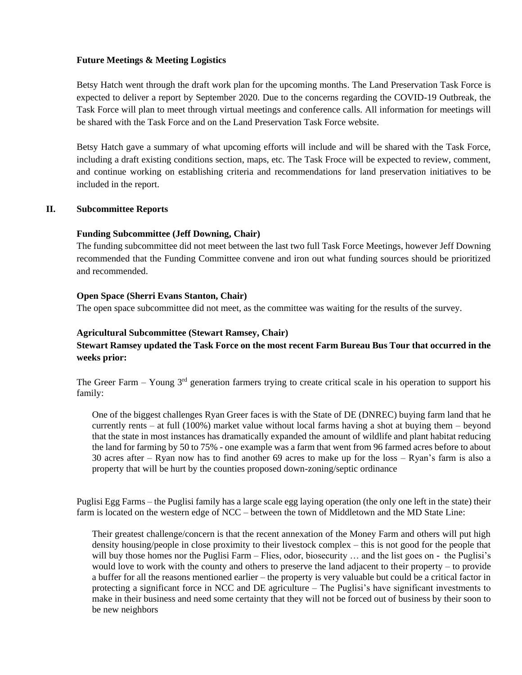## **Future Meetings & Meeting Logistics**

Betsy Hatch went through the draft work plan for the upcoming months. The Land Preservation Task Force is expected to deliver a report by September 2020. Due to the concerns regarding the COVID-19 Outbreak, the Task Force will plan to meet through virtual meetings and conference calls. All information for meetings will be shared with the Task Force and on the Land Preservation Task Force website.

Betsy Hatch gave a summary of what upcoming efforts will include and will be shared with the Task Force, including a draft existing conditions section, maps, etc. The Task Froce will be expected to review, comment, and continue working on establishing criteria and recommendations for land preservation initiatives to be included in the report.

#### **II. Subcommittee Reports**

#### **Funding Subcommittee (Jeff Downing, Chair)**

The funding subcommittee did not meet between the last two full Task Force Meetings, however Jeff Downing recommended that the Funding Committee convene and iron out what funding sources should be prioritized and recommended.

#### **Open Space (Sherri Evans Stanton, Chair)**

The open space subcommittee did not meet, as the committee was waiting for the results of the survey.

## **Agricultural Subcommittee (Stewart Ramsey, Chair)**

## **Stewart Ramsey updated the Task Force on the most recent Farm Bureau Bus Tour that occurred in the weeks prior:**

The Greer Farm – Young  $3<sup>rd</sup>$  generation farmers trying to create critical scale in his operation to support his family:

One of the biggest challenges Ryan Greer faces is with the State of DE (DNREC) buying farm land that he currently rents – at full (100%) market value without local farms having a shot at buying them – beyond that the state in most instances has dramatically expanded the amount of wildlife and plant habitat reducing the land for farming by 50 to 75% - one example was a farm that went from 96 farmed acres before to about 30 acres after – Ryan now has to find another 69 acres to make up for the loss – Ryan's farm is also a property that will be hurt by the counties proposed down-zoning/septic ordinance

Puglisi Egg Farms – the Puglisi family has a large scale egg laying operation (the only one left in the state) their farm is located on the western edge of NCC – between the town of Middletown and the MD State Line:

Their greatest challenge/concern is that the recent annexation of the Money Farm and others will put high density housing/people in close proximity to their livestock complex – this is not good for the people that will buy those homes nor the Puglisi Farm – Flies, odor, biosecurity ... and the list goes on - the Puglisi's would love to work with the county and others to preserve the land adjacent to their property – to provide a buffer for all the reasons mentioned earlier – the property is very valuable but could be a critical factor in protecting a significant force in NCC and DE agriculture – The Puglisi's have significant investments to make in their business and need some certainty that they will not be forced out of business by their soon to be new neighbors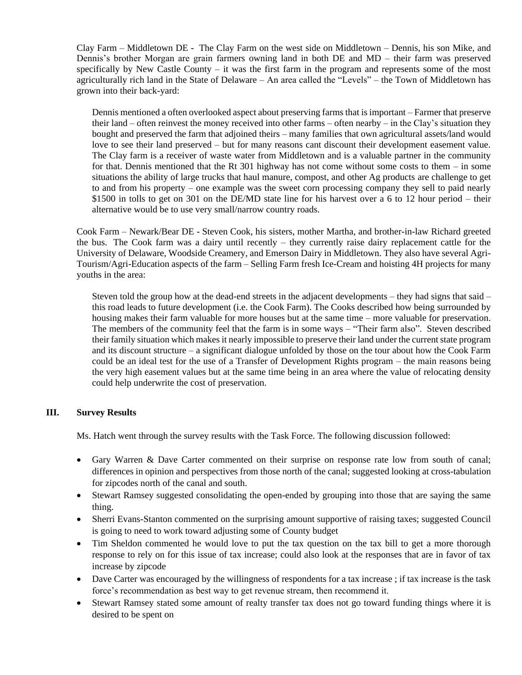Clay Farm – Middletown DE - The Clay Farm on the west side on Middletown – Dennis, his son Mike, and Dennis's brother Morgan are grain farmers owning land in both DE and MD – their farm was preserved specifically by New Castle County – it was the first farm in the program and represents some of the most agriculturally rich land in the State of Delaware – An area called the "Levels" – the Town of Middletown has grown into their back-yard:

Dennis mentioned a often overlooked aspect about preserving farms that is important – Farmer that preserve their land – often reinvest the money received into other farms – often nearby – in the Clay's situation they bought and preserved the farm that adjoined theirs – many families that own agricultural assets/land would love to see their land preserved – but for many reasons cant discount their development easement value. The Clay farm is a receiver of waste water from Middletown and is a valuable partner in the community for that. Dennis mentioned that the Rt 301 highway has not come without some costs to them – in some situations the ability of large trucks that haul manure, compost, and other Ag products are challenge to get to and from his property – one example was the sweet corn processing company they sell to paid nearly \$1500 in tolls to get on 301 on the DE/MD state line for his harvest over a 6 to 12 hour period – their alternative would be to use very small/narrow country roads.

Cook Farm – Newark/Bear DE - Steven Cook, his sisters, mother Martha, and brother-in-law Richard greeted the bus. The Cook farm was a dairy until recently – they currently raise dairy replacement cattle for the University of Delaware, Woodside Creamery, and Emerson Dairy in Middletown. They also have several Agri-Tourism/Agri-Education aspects of the farm – Selling Farm fresh Ice-Cream and hoisting 4H projects for many youths in the area:

Steven told the group how at the dead-end streets in the adjacent developments – they had signs that said – this road leads to future development (i.e. the Cook Farm). The Cooks described how being surrounded by housing makes their farm valuable for more houses but at the same time – more valuable for preservation. The members of the community feel that the farm is in some ways – "Their farm also". Steven described their family situation which makes it nearly impossible to preserve their land under the current state program and its discount structure – a significant dialogue unfolded by those on the tour about how the Cook Farm could be an ideal test for the use of a Transfer of Development Rights program – the main reasons being the very high easement values but at the same time being in an area where the value of relocating density could help underwrite the cost of preservation.

## **III. Survey Results**

Ms. Hatch went through the survey results with the Task Force. The following discussion followed:

- Gary Warren & Dave Carter commented on their surprise on response rate low from south of canal; differences in opinion and perspectives from those north of the canal; suggested looking at cross-tabulation for zipcodes north of the canal and south.
- Stewart Ramsey suggested consolidating the open-ended by grouping into those that are saying the same thing.
- Sherri Evans-Stanton commented on the surprising amount supportive of raising taxes; suggested Council is going to need to work toward adjusting some of County budget
- Tim Sheldon commented he would love to put the tax question on the tax bill to get a more thorough response to rely on for this issue of tax increase; could also look at the responses that are in favor of tax increase by zipcode
- Dave Carter was encouraged by the willingness of respondents for a tax increase; if tax increase is the task force's recommendation as best way to get revenue stream, then recommend it.
- Stewart Ramsey stated some amount of realty transfer tax does not go toward funding things where it is desired to be spent on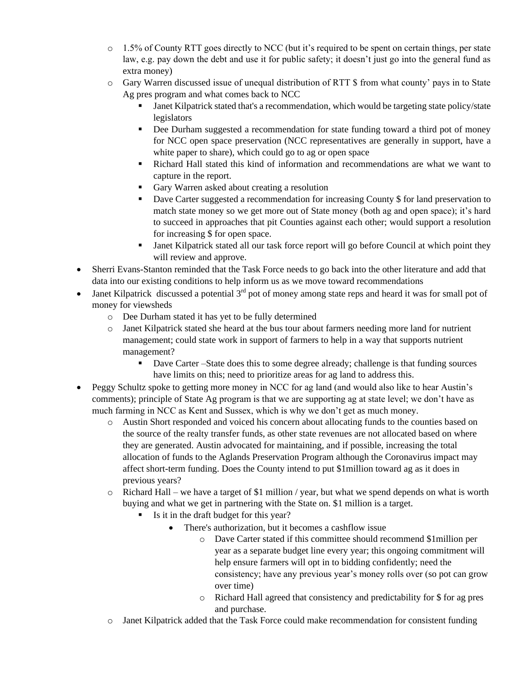- $\circ$  1.5% of County RTT goes directly to NCC (but it's required to be spent on certain things, per state law, e.g. pay down the debt and use it for public safety; it doesn't just go into the general fund as extra money)
- o Gary Warren discussed issue of unequal distribution of RTT \$ from what county' pays in to State Ag pres program and what comes back to NCC
	- Janet Kilpatrick stated that's a recommendation, which would be targeting state policy/state legislators
	- Dee Durham suggested a recommendation for state funding toward a third pot of money for NCC open space preservation (NCC representatives are generally in support, have a white paper to share), which could go to ag or open space
	- Richard Hall stated this kind of information and recommendations are what we want to capture in the report.
	- Gary Warren asked about creating a resolution
	- **•** Dave Carter suggested a recommendation for increasing County \$ for land preservation to match state money so we get more out of State money (both ag and open space); it's hard to succeed in approaches that pit Counties against each other; would support a resolution for increasing \$ for open space.
	- Janet Kilpatrick stated all our task force report will go before Council at which point they will review and approve.
- Sherri Evans-Stanton reminded that the Task Force needs to go back into the other literature and add that data into our existing conditions to help inform us as we move toward recommendations
- Janet Kilpatrick discussed a potential  $3<sup>rd</sup>$  pot of money among state reps and heard it was for small pot of money for viewsheds
	- o Dee Durham stated it has yet to be fully determined
	- o Janet Kilpatrick stated she heard at the bus tour about farmers needing more land for nutrient management; could state work in support of farmers to help in a way that supports nutrient management?
		- Dave Carter –State does this to some degree already; challenge is that funding sources have limits on this; need to prioritize areas for ag land to address this.
- Peggy Schultz spoke to getting more money in NCC for ag land (and would also like to hear Austin's comments); principle of State Ag program is that we are supporting ag at state level; we don't have as much farming in NCC as Kent and Sussex, which is why we don't get as much money.
	- o Austin Short responded and voiced his concern about allocating funds to the counties based on the source of the realty transfer funds, as other state revenues are not allocated based on where they are generated. Austin advocated for maintaining, and if possible, increasing the total allocation of funds to the Aglands Preservation Program although the Coronavirus impact may affect short-term funding. Does the County intend to put \$1million toward ag as it does in previous years?
	- o Richard Hall we have a target of \$1 million / year, but what we spend depends on what is worth buying and what we get in partnering with the State on. \$1 million is a target.
		- Is it in the draft budget for this year?
			- There's authorization, but it becomes a cashflow issue
				- o Dave Carter stated if this committee should recommend \$1million per year as a separate budget line every year; this ongoing commitment will help ensure farmers will opt in to bidding confidently; need the consistency; have any previous year's money rolls over (so pot can grow over time)
				- o Richard Hall agreed that consistency and predictability for \$ for ag pres and purchase.
	- o Janet Kilpatrick added that the Task Force could make recommendation for consistent funding